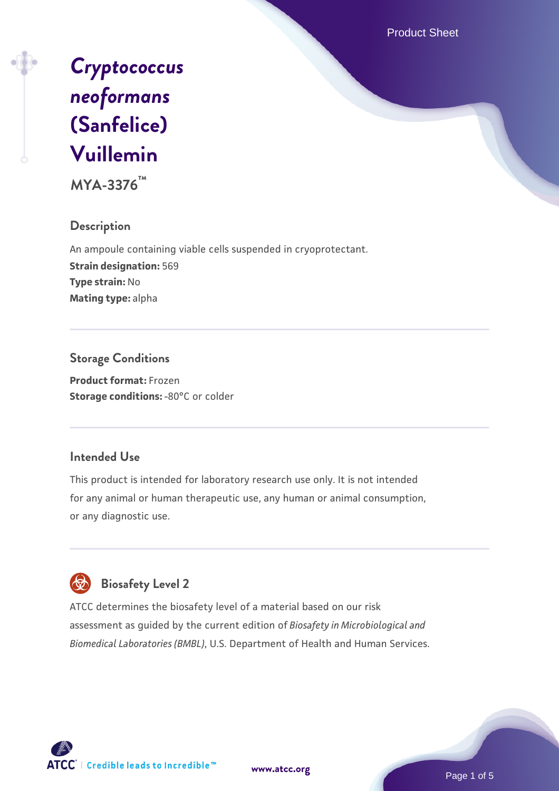Product Sheet



**MYA-3376™**

## **Description**

An ampoule containing viable cells suspended in cryoprotectant. **Strain designation:** 569 **Type strain:** No **Mating type:** alpha

## **Storage Conditions**

**Product format:** Frozen **Storage conditions: -80°C** or colder

#### **Intended Use**

This product is intended for laboratory research use only. It is not intended for any animal or human therapeutic use, any human or animal consumption, or any diagnostic use.

# **Biosafety Level 2**

ATCC determines the biosafety level of a material based on our risk assessment as guided by the current edition of *Biosafety in Microbiological and Biomedical Laboratories (BMBL)*, U.S. Department of Health and Human Services.



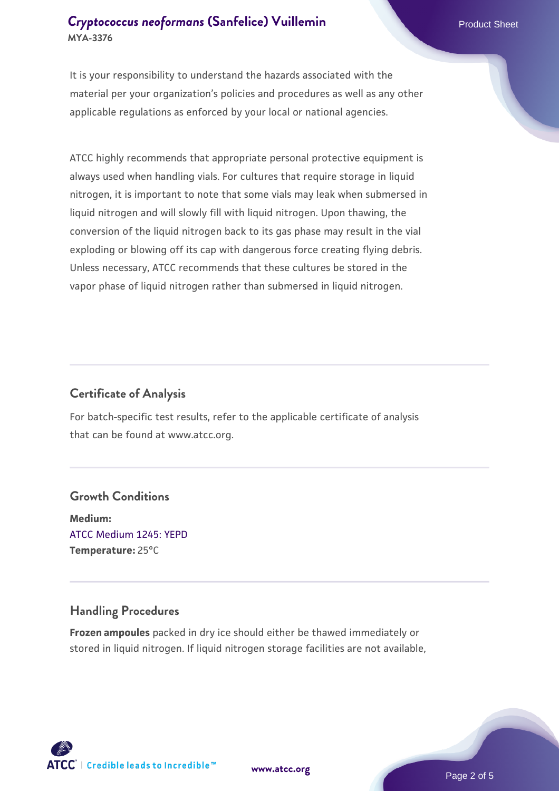## **[Cryptococcus neoformans](https://www.atcc.org/products/mya-3376) [\(Sanfelice\) Vuillemin](https://www.atcc.org/products/mya-3376)** Product Sheet **MYA-3376**

It is your responsibility to understand the hazards associated with the material per your organization's policies and procedures as well as any other applicable regulations as enforced by your local or national agencies.

ATCC highly recommends that appropriate personal protective equipment is always used when handling vials. For cultures that require storage in liquid nitrogen, it is important to note that some vials may leak when submersed in liquid nitrogen and will slowly fill with liquid nitrogen. Upon thawing, the conversion of the liquid nitrogen back to its gas phase may result in the vial exploding or blowing off its cap with dangerous force creating flying debris. Unless necessary, ATCC recommends that these cultures be stored in the vapor phase of liquid nitrogen rather than submersed in liquid nitrogen.

## **Certificate of Analysis**

For batch-specific test results, refer to the applicable certificate of analysis that can be found at www.atcc.org.

## **Growth Conditions**

**Medium:**  [ATCC Medium 1245: YEPD](https://www.atcc.org/-/media/product-assets/documents/microbial-media-formulations/1/2/4/5/atcc-medium-1245.pdf?rev=705ca55d1b6f490a808a965d5c072196) **Temperature:** 25°C

## **Handling Procedures**

**Frozen ampoules** packed in dry ice should either be thawed immediately or stored in liquid nitrogen. If liquid nitrogen storage facilities are not available,

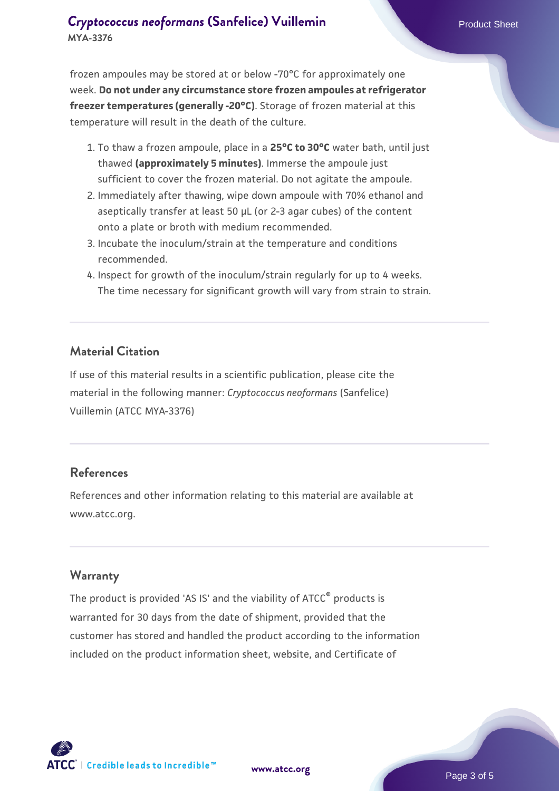## **[Cryptococcus neoformans](https://www.atcc.org/products/mya-3376) [\(Sanfelice\) Vuillemin](https://www.atcc.org/products/mya-3376)** Product Sheet **MYA-3376**

frozen ampoules may be stored at or below -70°C for approximately one week. **Do not under any circumstance store frozen ampoules at refrigerator freezer temperatures (generally -20°C)**. Storage of frozen material at this temperature will result in the death of the culture.

- 1. To thaw a frozen ampoule, place in a **25°C to 30°C** water bath, until just thawed **(approximately 5 minutes)**. Immerse the ampoule just sufficient to cover the frozen material. Do not agitate the ampoule.
- 2. Immediately after thawing, wipe down ampoule with 70% ethanol and aseptically transfer at least 50 µL (or 2-3 agar cubes) of the content onto a plate or broth with medium recommended.
- 3. Incubate the inoculum/strain at the temperature and conditions recommended.
- 4. Inspect for growth of the inoculum/strain regularly for up to 4 weeks. The time necessary for significant growth will vary from strain to strain.

#### **Material Citation**

If use of this material results in a scientific publication, please cite the material in the following manner: *Cryptococcus neoformans* (Sanfelice) Vuillemin (ATCC MYA-3376)

#### **References**

References and other information relating to this material are available at www.atcc.org.

#### **Warranty**

The product is provided 'AS IS' and the viability of ATCC<sup>®</sup> products is warranted for 30 days from the date of shipment, provided that the customer has stored and handled the product according to the information included on the product information sheet, website, and Certificate of



**[www.atcc.org](http://www.atcc.org)**

Page 3 of 5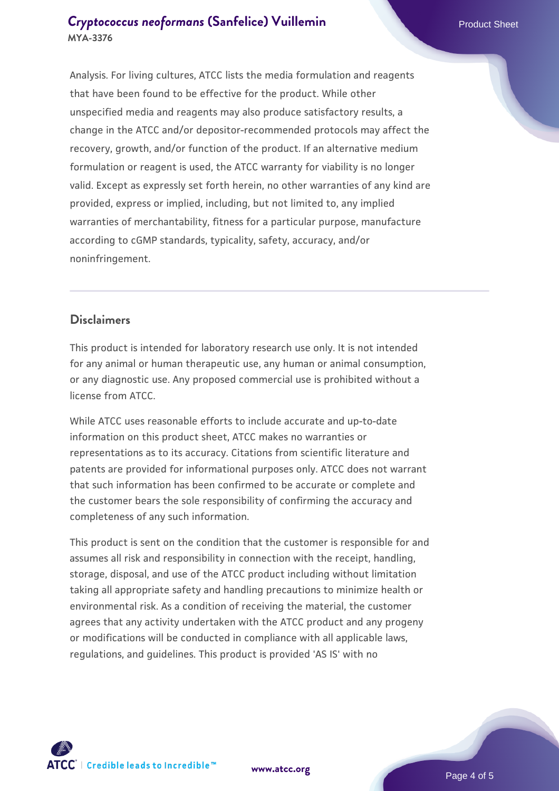## **[Cryptococcus neoformans](https://www.atcc.org/products/mya-3376) [\(Sanfelice\) Vuillemin](https://www.atcc.org/products/mya-3376)** Product Sheet **MYA-3376**

Analysis. For living cultures, ATCC lists the media formulation and reagents that have been found to be effective for the product. While other unspecified media and reagents may also produce satisfactory results, a change in the ATCC and/or depositor-recommended protocols may affect the recovery, growth, and/or function of the product. If an alternative medium formulation or reagent is used, the ATCC warranty for viability is no longer valid. Except as expressly set forth herein, no other warranties of any kind are provided, express or implied, including, but not limited to, any implied warranties of merchantability, fitness for a particular purpose, manufacture according to cGMP standards, typicality, safety, accuracy, and/or noninfringement.

## **Disclaimers**

This product is intended for laboratory research use only. It is not intended for any animal or human therapeutic use, any human or animal consumption, or any diagnostic use. Any proposed commercial use is prohibited without a license from ATCC.

While ATCC uses reasonable efforts to include accurate and up-to-date information on this product sheet, ATCC makes no warranties or representations as to its accuracy. Citations from scientific literature and patents are provided for informational purposes only. ATCC does not warrant that such information has been confirmed to be accurate or complete and the customer bears the sole responsibility of confirming the accuracy and completeness of any such information.

This product is sent on the condition that the customer is responsible for and assumes all risk and responsibility in connection with the receipt, handling, storage, disposal, and use of the ATCC product including without limitation taking all appropriate safety and handling precautions to minimize health or environmental risk. As a condition of receiving the material, the customer agrees that any activity undertaken with the ATCC product and any progeny or modifications will be conducted in compliance with all applicable laws, regulations, and guidelines. This product is provided 'AS IS' with no



**[www.atcc.org](http://www.atcc.org)**

Page 4 of 5